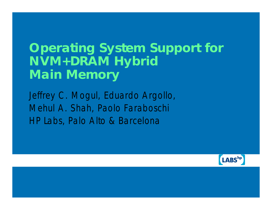#### **Operating System Support for NVM+DRAM Hybrid Main Memory**

Jeffrey C. Mogul, Eduardo Argollo, Mehul A. Shah, Paolo Faraboschi *HP Labs, Palo Alto & Barcelona*

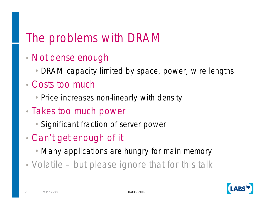## The problems with DRAM

- Not dense enough
	- •DRAM capacity limited by space, power, wire lengths
- Costs too much
	- Price increases non-linearly with density
- Takes too much power
	- •Significant fraction of server power
- Can't get enough of it
	- Many applications are hungry for main memory
- Volatile but please ignore that for this talk

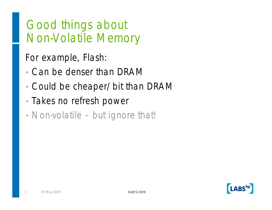#### Good things about Non-Volatile Memory

For example, Flash:

- Can be denser than DRAM
- Could be cheaper/bit than DRAM
- Takes no refresh power
- Non-volatile but ignore that!

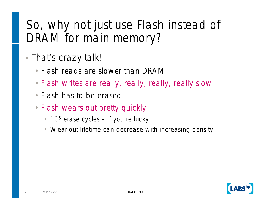## So, why not just use Flash instead of DRAM for main memory?

- That's crazy talk!
	- •Flash reads are slower than DRAM
	- •Flash writes are really, really, really, really slow
	- •Flash has to be erased
	- Flash wears out pretty quickly
		- $10<sup>5</sup>$  erase cycles if you're lucky
		- Wear-out lifetime can decrease with increasing density

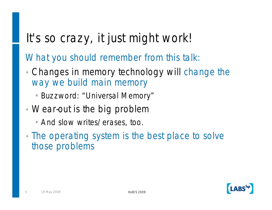# It's so crazy, it just might work!

What you should remember from this talk:

- Changes in memory technology will change the way we build main memory
	- •Buzzword: "Universal Memory"
- Wear-out is the big problem
	- •And slow writes/erases, too.
- The operating system is the best place to solve those problems

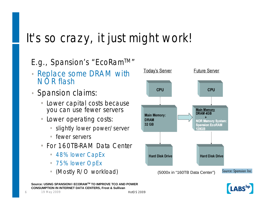# It's so crazy, it just might work!

#### E.g., Spansion's "EcoRam<sup>TM</sup>"

- Replace some DRAM with NOR flash
- Spansion claims:
	- Lower capital costs because you can use fewer servers
	- Lower operating costs:
		- slightly lower power/server
		- fewer servers
	- For 160TB-RAM Data Center
		- 48% lower CapEx
		- 75% lower OpEx
		- (Mostly R/O workload)



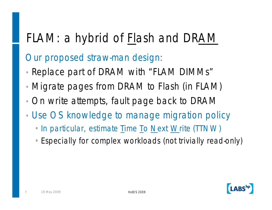# FLAM: a hybrid of Flash and DRAM

Our proposed straw-man design:

- Replace part of DRAM with "FLAM DIMMs"
- Migrate pages from DRAM to Flash (in FLAM)
- On write attempts, fault page back to DRAM
- Use OS knowledge to manage migration policy
	- In particular, estimate Time To Next Write (TTNW)
	- •Especially for complex workloads (not trivially read-only)

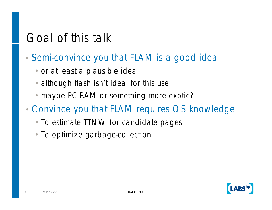# Goal of this talk

- *Semi*-convince you that FLAM is a good idea
	- •or at least a plausible idea
	- although flash isn't ideal for this use
	- maybe PC-RAM or something more exotic?
- Convince you that FLAM requires OS knowledge
	- To estimate TTNW for candidate pages
	- •To optimize garbage-collection

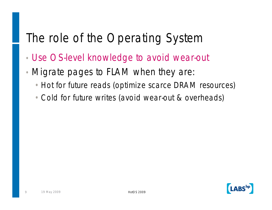# The role of the Operating System

- Use OS-level knowledge to avoid wear-out
- Migrate pages to FLAM when they are:
	- Hot for future reads (optimize scarce DRAM resources)
	- •Cold for future writes (avoid wear-out & overheads)

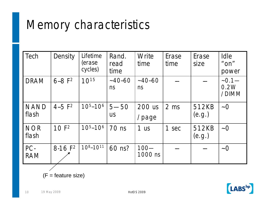# Memory characteristics

| Tech                 | Density          | Lifetime<br>(erase<br>cycles) | Rand.<br>read<br>time | Write<br>time      | Erase<br>time   | Erase<br>size   | Idle<br>$"$ ON"<br>power  |
|----------------------|------------------|-------------------------------|-----------------------|--------------------|-----------------|-----------------|---------------------------|
| <b>DRAM</b>          | $6 - 8 F2$       | $10^{15}$                     | $~-40 - 60$<br>ns     | $~-40 - 60$<br>ns  |                 |                 | $-0.1$ —<br>0.2W<br>/DIMM |
| <b>NAND</b><br>flash | $4 - 5 F2$       | $105 - 106$                   | $5 - 50$<br><b>US</b> | 200 us<br>/page    | 2 <sub>ms</sub> | 512KB<br>(e.g.) | $\sim\!0$                 |
| <b>NOR</b><br>flash  | 10F <sup>2</sup> | $105 - 106$                   | 70 ns                 | 1 <sub>us</sub>    | 1<br>sec        | 512KB<br>(e.g.) | $\sim\!0$                 |
| PC-<br><b>RAM</b>    | $8-16 F2$        | $10^{8} - 10^{11}$            | 60 ns?                | $100 -$<br>1000 ns |                 |                 | $\sim\!0$                 |

 $(F = feature size)$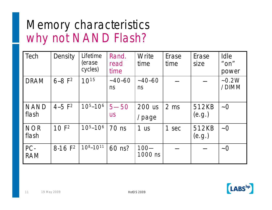## Memory characteristics why not NAND Flash?

| Tech                 | Density          | Lifetime<br>(erase<br>cycles) | Rand.<br>read<br>time | Write<br>time      | Erase<br>time   | Erase<br>size   | Idle<br>$"$ on"<br>power |
|----------------------|------------------|-------------------------------|-----------------------|--------------------|-----------------|-----------------|--------------------------|
| <b>DRAM</b>          | $6 - 8 F2$       | $10^{15}$                     | $~-40 - 60$<br>ns     | $~-40 - 60$<br>ns  |                 |                 | $-0.2W$<br>/DIMM         |
| <b>NAND</b><br>flash | $4 - 5 F2$       | $105 - 106$                   | $5 - 50$<br><b>US</b> | 200 us<br>/page    | 2 <sub>ms</sub> | 512KB<br>(e.g.) | $\sim$ O                 |
| <b>NOR</b><br>flash  | 10F <sup>2</sup> | $105 - 106$                   | 70 ns                 | 1 <sub>us</sub>    | 1<br>sec        | 512KB<br>(e.g.) | $\sim\!0$                |
| PC-<br><b>RAM</b>    | $8-16 F2$        | $108 - 1011$                  | 60 ns?                | $100 -$<br>1000 ns |                 |                 | $\sim\!0$                |

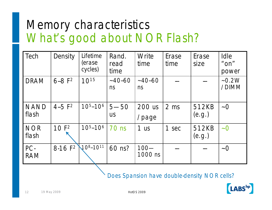# Memory characteristics What's good about NOR Flash?

| Tech                 | Density          | Lifetime<br>(erase<br>cycles) | Rand.<br>read<br>time | Write<br>time      | Erase<br>time | Erase<br>size   | <b>Idle</b><br>" $on$ "<br>power |
|----------------------|------------------|-------------------------------|-----------------------|--------------------|---------------|-----------------|----------------------------------|
| <b>DRAM</b>          | $6 - 8 F2$       | $10^{15}$                     | $~-40 - 60$<br>ns     | $~-40 - 60$<br>ns  |               |                 | $-0.2W$<br>/DIMM                 |
| <b>NAND</b><br>flash | $4 - 5 F2$       | $105 - 106$                   | $5 - 50$<br><b>US</b> | 200 us<br>/page    | 2 ms          | 512KB<br>(e.g.) | $\sim\!0$                        |
| <b>NOR</b><br>flash  | 10F <sup>2</sup> | $105 - 106$                   | <b>70 ns</b>          | 1 <sub>us</sub>    | 1 sec         | 512KB<br>(e.g.) | $\sim\!0$                        |
| PC-<br><b>RAM</b>    | $8-16 F2$        | $10^{8} - 10^{11}$            | 60 ns?                | $100 -$<br>1000 ns |               |                 | $\sim$ O                         |

Does Spansion have double-density NOR cells?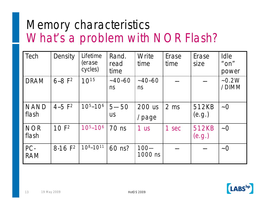# Memory characteristics What's a problem with NOR Flash?

| Tech                 | Density          | Lifetime<br>(erase<br>cycles) | Rand.<br>read<br>time | Write<br>time      | Erase<br>time   | Erase<br>size   | Idle<br>$"$ on"<br>power |
|----------------------|------------------|-------------------------------|-----------------------|--------------------|-----------------|-----------------|--------------------------|
| <b>DRAM</b>          | $6 - 8 F2$       | $10^{15}$                     | $~-40 - 60$<br>ns     | $~-40 - 60$<br>ns  |                 |                 | $-0.2W$<br>/DIMM         |
| <b>NAND</b><br>flash | $4 - 5 F2$       | $105 - 106$                   | $5 - 50$<br><b>US</b> | 200 us<br>/page    | 2 <sub>ms</sub> | 512KB<br>(e.g.) | $\sim\!0$                |
| <b>NOR</b><br>flash  | 10F <sup>2</sup> | $105 - 106$                   | 70 ns                 | 1 us               | 1<br>sec        | 512KB<br>(e.g.) | $\sim\!0$                |
| PC-<br><b>RAM</b>    | $8-16 F2$        | $108 - 1011$                  | 60 ns?                | $100 -$<br>1000 ns |                 |                 | $\sim\!0$                |

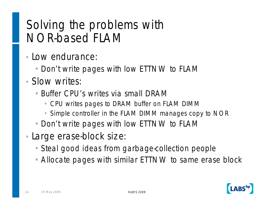# Solving the problems with NOR-based FLAM

- Low endurance:
	- Don't write pages with low ETTNW to FLAM
- Slow writes:
	- Buffer CPU's writes via small DRAM
		- CPU writes pages to DRAM buffer on FLAM DIMM
		- Simple controller in the FLAM DIMM manages copy to NOR
	- •Don't write pages with low ETTNW to FLAM
- Large erase-block size:
	- •Steal good ideas from garbage-collection people
	- •Allocate pages with similar ETTNW to same erase block

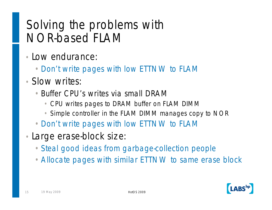# Solving the problems with NOR-based FLAM

- Low endurance:
	- •Don't write pages with low ETTNW to FLAM
- Slow writes:
	- Buffer CPU's writes via small DRAM
		- CPU writes pages to DRAM buffer on FLAM DIMM
		- Simple controller in the FLAM DIMM manages copy to NOR
	- •Don't write pages with low ETTNW to FLAM
- Large erase-block size:
	- •Steal good ideas from garbage-collection people
	- •Allocate pages with similar ETTNW to same erase block

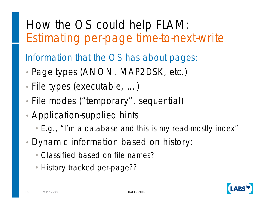# How the OS could help FLAM: Estimating per-page time-to-next-write

Information that the OS has about pages:

- Page types (ANON, MAP2DSK, etc.)
- File types (executable, ...)
- File modes ("temporary", sequential)
- Application-supplied hints
	- •E.g., "I'm a database and this is my read-mostly index"
- Dynamic information based on history:
	- •Classified based on file names?
	- History tracked per-page??

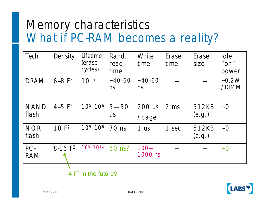## Memory characteristics What if PC-RAM becomes a reality?

| Tech                 | Density          | Lifetime<br>(erase<br>cycles) | Rand.<br>read<br>time | Write<br>time      | Erase<br>time  | Erase<br>size   | Idle<br>$"$ ON"<br>power |
|----------------------|------------------|-------------------------------|-----------------------|--------------------|----------------|-----------------|--------------------------|
| <b>DRAM</b>          | $6 - 8 F2$       | $10^{15}$                     | $~-40-60$<br>ns       | $~-40 - 60$<br>ns  |                |                 | $-0.2W$<br>/DIMM         |
| <b>NAND</b><br>flash | $4 - 5 F2$       | $105 - 106$                   | $5 - 50$<br><b>US</b> | 200 us<br>/page    | $2 \text{ ms}$ | 512KB<br>(e.g.) | $\sim\!0$                |
| <b>NOR</b><br>flash  | 10F <sup>2</sup> | $105 - 106$                   | 70 ns                 | 1 <sub>us</sub>    | 1 sec          | 512KB<br>(e.g.) | $\sim\!0$                |
| PC-<br><b>RAM</b>    | $8-16 F2$        | $10^{8} - 10^{11}$            | 60 ns?                | $100 -$<br>1000 ns |                |                 | $\sim\!0$                |

4 F<sup>2</sup> in the future?

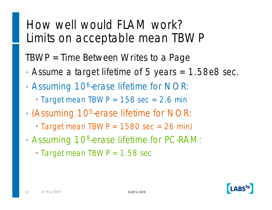#### How well would FLAM work? Limits on acceptable mean TBWP

TBWP = Time Between Writes to a Page

- Assume a target lifetime of 5 years = 1.58e8 sec.
- Assuming 10<sup>6</sup>-erase lifetime for NOR:
	- Target mean TBWP =  $158 \text{ sec} = 2.6 \text{ min}$
- (Assuming 10<sup>5</sup>-erase lifetime for NOR:
	- Target mean TBWP =  $1580$  sec =  $26$  min)
- Assuming 10<sup>8</sup>-erase lifetime for PC-RAM:
	- Target mean TBWP = 1.58 sec

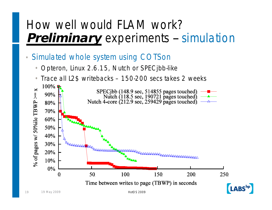#### How well would FLAM work? **Preliminary** experiments -- simulation

- Simulated whole system using COTSon
	- Opteron, Linux 2.6.15, Nutch or SPECjbb-like
	- Trace all L2\$ writebacks 150-200 secs takes 2 weeks

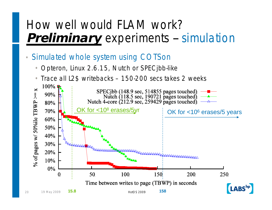#### How well would FLAM work? **Preliminary** experiments -- simulation

- Simulated whole system using COTSon
	- Opteron, Linux 2.6.15, Nutch or SPECjbb-like
	- Trace all L2\$ writebacks 150-200 secs takes 2 weeks

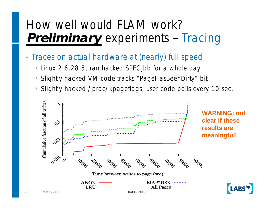#### How well would FLAM work? **Preliminary** experiments -- Tracing

- Traces on actual hardware at (nearly) full speed
	- Linux 2.6.28.5, ran hacked SPECjbb for a whole day
	- Slightly hacked VM code tracks "PageHasBeenDirty" bit
	- Slightly hacked /proc/kpageflags, user code polls every 10 sec.

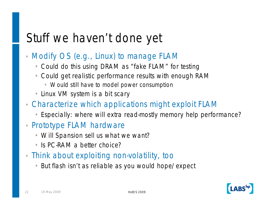# Stuff we haven't done yet

- Modify OS (e.g., Linux) to manage FLAM
	- Could do this using DRAM as "fake FLAM" for testing
	- Could get realistic performance results with enough RAM
		- Would still have to model power consumption
	- Linux VM system is a bit scary
- Characterize which applications might exploit FLAM
	- Especially: where will extra read-mostly memory help performance?
- Prototype FLAM hardware
	- Will Spansion sell us what we want?
	- Is PC-RAM a better choice?
- Think about exploiting non-volatility, too
	- But flash isn't as reliable as you would hope/expect

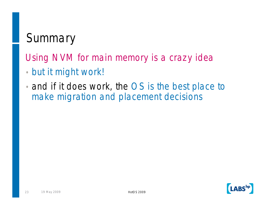# **Summary**

Using NVM for main memory is a crazy idea

- but it might work!
- and if it does work, the OS is the best place to make migration and placement decisions

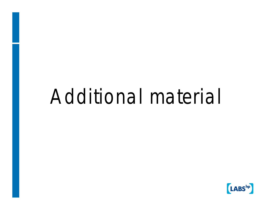# Additional material

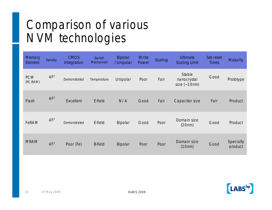# Comparison of various NVM technologies

| <b>Memory</b><br>Element | <b>Density</b>  | <b>CMOS</b><br>Integration | Switch<br>Mechanism | <b>Bipolar</b><br>/Unipolar | Write<br>Power | Scaling | <b>Ultimate</b><br><b>Scaling Limit</b> | Set-reset<br><b>Times</b> | <b>Maturity</b>      |
|--------------------------|-----------------|----------------------------|---------------------|-----------------------------|----------------|---------|-----------------------------------------|---------------------------|----------------------|
| <b>PCM</b><br>(PC-RAM)   | 4F <sup>2</sup> | Demonstrated               | Temperature         | Unipolar                    | Poor           | Fair    | Stable<br>nanocrystal<br>size $(-10nm)$ | Good                      | Prototype            |
| Flash                    | 4F <sup>2</sup> | <b>Excellent</b>           | E-field             | N/A                         | Good           | Fair    | Capacitor size                          | Fair                      | Product              |
| FeRAM                    | 4F <sup>2</sup> | Demonstrated               | E-field             | Bipolar                     | Good           | Poor    | Domain size<br>(20nm)                   | Good                      | Product              |
| <b>MRAM</b>              | 4F <sup>2</sup> | Poor (Fe)                  | <b>B</b> -field     | Bipolar                     | Poor           | Poor    | Domain size<br>(10nm)                   | Good                      | Specialty<br>product |

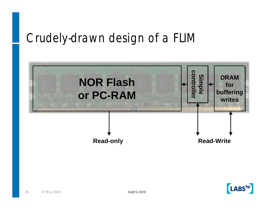#### Crudely-drawn design of a FLIM



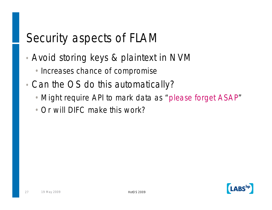## Security aspects of FLAM

- Avoid storing keys & plaintext in NVM
	- Increases chance of compromise
- Can the OS do this automatically?
	- •Might require API to mark data as "please forget ASAP"
	- •Or will DIFC make this work?